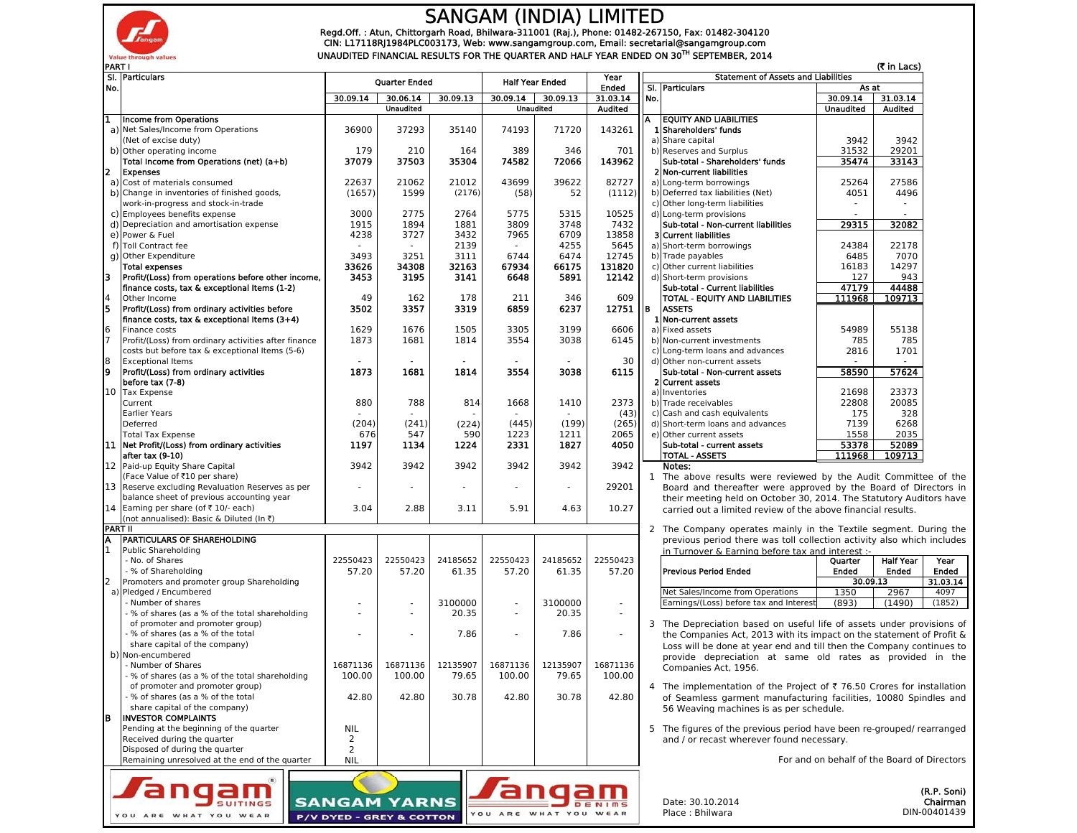

YOU ARE WHAT YOU WEAR

P/V DYED - GREY & COTTON

## SANGAM (INDIA) LIMITED

Regd.Off. : Atun, Chittorgarh Road, Bhilwara-311001 (Raj.), Phone: 01482-267150, Fax: 01482-304120<br>CIN: L17118RJ1984PLC003173, Web: www.sangamgroup.com, Email: secretarial@sangamgroup.com UNAUDITED FINANCIAL RESULTS FOR THE QUARTER AND HALF YEAR ENDED ON 30<sup>TH</sup> SEPTEMBER, 2014

| No. | SI. Particulars                                                                               | <b>Quarter Ended</b> |                          | <b>Half Year Ended</b>   |                | Year                     |                          | <b>Statement of Assets and Liabilities</b> | As at                                                                  |                                             |                  |                         |
|-----|-----------------------------------------------------------------------------------------------|----------------------|--------------------------|--------------------------|----------------|--------------------------|--------------------------|--------------------------------------------|------------------------------------------------------------------------|---------------------------------------------|------------------|-------------------------|
|     |                                                                                               | 30.09.14             | 30.06.14                 | 30.09.13                 | 30.09.14       | 30.09.13                 | <b>Ended</b><br>31.03.14 | SI.<br>No.                                 | <b>Particulars</b>                                                     | 30.09.14                                    | 31.03.14         |                         |
|     |                                                                                               |                      | <b>Unaudited</b>         |                          |                | <b>Unaudited</b>         | <b>Audited</b>           |                                            |                                                                        | <b>Unaudited</b>                            | Audited          |                         |
|     | Income from Operations                                                                        |                      |                          |                          |                |                          |                          | A                                          | <b>EQUITY AND LIABILITIES</b>                                          |                                             |                  |                         |
|     | a) Net Sales/Income from Operations                                                           | 36900                | 37293                    | 35140                    | 74193          | 71720                    | 143261                   |                                            | 1 Shareholders' funds                                                  |                                             |                  |                         |
|     | (Net of excise duty)                                                                          |                      |                          |                          |                |                          |                          |                                            | a) Share capital                                                       | 3942                                        | 3942             |                         |
|     | b) Other operating income                                                                     | 179                  | 210                      | 164                      | 389            | 346                      | 701                      |                                            | b) Reserves and Surplus                                                | 31532                                       | 29201            |                         |
|     | Total Income from Operations (net) (a+b)                                                      | 37079                | 37503                    | 35304                    | 74582          | 72066                    | 143962                   |                                            | Sub-total - Shareholders' funds                                        | 35474                                       | 33143            |                         |
|     | <b>Expenses</b>                                                                               |                      |                          |                          |                |                          |                          |                                            | 2 Non-current liabilities                                              |                                             |                  |                         |
|     | a) Cost of materials consumed                                                                 | 22637                | 21062                    | 21012                    | 43699          | 39622                    | 82727                    |                                            | a) Long-term borrowings                                                | 25264                                       | 27586            |                         |
|     | b) Change in inventories of finished goods,                                                   | (1657)               | 1599                     | (2176)                   | (58)           | 52                       | (1112)                   |                                            | b) Deferred tax liabilities (Net)                                      | 4051                                        | 4496             |                         |
|     | work-in-progress and stock-in-trade<br>c) Employees benefits expense                          | 3000                 | 2775                     |                          |                | 5315                     | 10525                    |                                            | c) Other long-term liabilities                                         |                                             |                  |                         |
|     | d) Depreciation and amortisation expense                                                      | 1915                 | 1894                     | 2764<br>1881             | 5775<br>3809   | 3748                     | 7432                     |                                            | d) Long-term provisions<br>Sub-total - Non-current liabilities         | 29315                                       | 32082            |                         |
|     | e) Power & Fuel                                                                               | 4238                 | 3727                     | 3432                     | 7965           | 6709                     | 13858                    |                                            | 3 Current liabilities                                                  |                                             |                  |                         |
|     | f) Toll Contract fee                                                                          |                      |                          | 2139                     |                | 4255                     | 5645                     |                                            | a) Short-term borrowings                                               | 24384                                       | 22178            |                         |
|     | g) Other Expenditure                                                                          | 3493                 | 3251                     | 3111                     | 6744           | 6474                     | 12745                    |                                            | b) Trade payables                                                      | 6485                                        | 7070             |                         |
|     | <b>Total expenses</b>                                                                         | 33626                | 34308                    | 32163                    | 67934          | 66175                    | 131820                   |                                            | c) Other current liabilities                                           | 16183                                       | 14297            |                         |
|     | Profit/(Loss) from operations before other income,                                            | 3453                 | 3195                     | 3141                     | 6648           | 5891                     | 12142                    |                                            | d) Short-term provisions                                               | 127                                         | 943              |                         |
|     | finance costs, tax & exceptional Items (1-2)                                                  |                      |                          |                          |                |                          |                          |                                            | Sub-total - Current liabilities                                        | 47179                                       | 44488            |                         |
|     | Other Income                                                                                  | 49                   | 162                      | 178                      | 211            | 346                      | 609                      |                                            | TOTAL - EQUITY AND LIABILITIES                                         | 111968                                      | 109713           |                         |
|     | Profit/(Loss) from ordinary activities before                                                 | 3502                 | 3357                     | 3319                     | 6859           | 6237                     | 12751                    | lв                                         | <b>ASSETS</b>                                                          |                                             |                  |                         |
|     | finance costs, tax & exceptional Items (3+4)                                                  |                      |                          |                          |                |                          |                          |                                            | 1 Non-current assets                                                   |                                             |                  |                         |
|     | Finance costs                                                                                 | 1629                 | 1676                     | 1505                     | 3305           | 3199                     | 6606                     |                                            | a) Fixed assets                                                        | 54989                                       | 55138            |                         |
|     | Profit/(Loss) from ordinary activities after finance                                          | 1873                 | 1681                     | 1814                     | 3554           | 3038                     | 6145                     |                                            | b) Non-current investments                                             | 785                                         | 785              |                         |
|     | costs but before tax & exceptional Items (5-6)                                                |                      |                          |                          |                |                          |                          |                                            | c) Long-term loans and advances                                        | 2816                                        | 1701             |                         |
|     | <b>Exceptional Items</b>                                                                      |                      | $\sim$                   | $\overline{\phantom{a}}$ | $\sim$         | $\overline{\phantom{a}}$ | 30                       |                                            | d) Other non-current assets                                            | $\sim$                                      | $\overline{a}$   |                         |
|     | Profit/(Loss) from ordinary activities                                                        | 1873                 | 1681                     | 1814                     | 3554           | 3038                     | 6115                     |                                            | Sub-total - Non-current assets                                         | 58590                                       | 57624            |                         |
|     | before tax (7-8)                                                                              |                      |                          |                          |                |                          |                          |                                            | 2 Current assets                                                       |                                             |                  |                         |
|     | 10 Tax Expense                                                                                |                      |                          |                          |                |                          |                          |                                            | a) Inventories                                                         | 21698                                       | 23373            |                         |
|     | Current                                                                                       | 880                  | 788                      | 814                      | 1668           | 1410                     | 2373                     |                                            | b) Trade receivables                                                   | 22808                                       | 20085            |                         |
|     | <b>Earlier Years</b>                                                                          |                      |                          |                          |                |                          | (43)                     |                                            | c) Cash and cash equivalents                                           | 175                                         | 328              |                         |
|     | Deferred                                                                                      | (204)                | (241)                    | (224)                    | (445)          | (199)                    | (265)                    |                                            | d) Short-term loans and advances                                       | 7139                                        | 6268             |                         |
|     | <b>Total Tax Expense</b>                                                                      | 676                  | 547                      | 590                      | 1223           | 1211                     | 2065                     |                                            | e) Other current assets                                                | 1558                                        | 2035             |                         |
| 111 | Net Profit/(Loss) from ordinary activities                                                    | 1197                 | 1134                     | 1224                     | 2331           | 1827                     | 4050                     |                                            | Sub-total - current assets                                             | 53378                                       | 52089            |                         |
|     | after tax (9-10)                                                                              |                      |                          |                          |                |                          |                          |                                            | <b>TOTAL - ASSETS</b>                                                  | 111968                                      | 109713           |                         |
|     | 12 Paid-up Equity Share Capital                                                               | 3942                 | 3942                     | 3942                     | 3942           | 3942                     | 3942                     |                                            | Notes:                                                                 |                                             |                  |                         |
|     | (Face Value of ₹10 per share)                                                                 |                      |                          |                          |                | $\overline{a}$           |                          | $\mathbf{1}$                               | The above results were reviewed by the Audit Committee of the          |                                             |                  |                         |
|     | 13 Reserve excluding Revaluation Reserves as per<br>balance sheet of previous accounting year |                      |                          |                          |                |                          | 29201                    |                                            | Board and thereafter were approved by the Board of Directors in        |                                             |                  |                         |
|     | 14 Earning per share (of ₹ 10/- each)                                                         | 3.04                 | 2.88                     | 3.11                     | 5.91           | 4.63                     | 10.27                    |                                            | their meeting held on October 30, 2014. The Statutory Auditors have    |                                             |                  |                         |
|     | (not annualised): Basic & Diluted (In ₹)                                                      |                      |                          |                          |                |                          |                          |                                            | carried out a limited review of the above financial results.           |                                             |                  |                         |
|     | <b>PART II</b>                                                                                |                      |                          |                          |                |                          |                          |                                            | 2 The Company operates mainly in the Textile segment. During the       |                                             |                  |                         |
|     | <b>PARTICULARS OF SHAREHOLDING</b>                                                            |                      |                          |                          |                |                          |                          |                                            | previous period there was toll collection activity also which includes |                                             |                  |                         |
|     | <b>Public Shareholding</b>                                                                    |                      |                          |                          |                |                          |                          |                                            | in Turnover & Earning before tax and interest :-                       |                                             |                  |                         |
|     | - No. of Shares                                                                               | 22550423             | 22550423                 | 24185652                 | 22550423       | 24185652                 | 22550423                 |                                            |                                                                        | Quarter                                     | <b>Half Year</b> |                         |
|     | - % of Shareholding                                                                           | 57.20                | 57.20                    | 61.35                    | 57.20          | 61.35                    | 57.20                    |                                            | <b>Previous Period Ended</b>                                           | Ended                                       | Ended            | Ended                   |
|     | Promoters and promoter group Shareholding                                                     |                      |                          |                          |                |                          |                          |                                            |                                                                        | 30.09.13                                    |                  | 31.03.14                |
|     | a) Pledged / Encumbered                                                                       |                      |                          |                          |                |                          |                          |                                            | Net Sales/Income from Operations                                       | 1350                                        | 2967             |                         |
|     | - Number of shares                                                                            |                      |                          | 3100000                  | $\overline{a}$ | 3100000                  | $\sim$                   |                                            | Earnings/(Loss) before tax and Interest                                | (893)                                       | (1490)           | (1852)                  |
|     | - % of shares (as a % of the total shareholding                                               |                      | $\overline{\phantom{a}}$ | 20.35                    | $\sim$         | 20.35                    | $\sim$                   |                                            |                                                                        |                                             |                  |                         |
|     | of promoter and promoter group)                                                               |                      |                          |                          |                |                          |                          |                                            | 3 The Depreciation based on useful life of assets under provisions of  |                                             |                  |                         |
|     | · % of shares (as a % of the total                                                            |                      |                          | 7.86                     | ٠              | 7.86                     | $\sim$                   |                                            | the Companies Act, 2013 with its impact on the statement of Profit &   |                                             |                  |                         |
|     | share capital of the company)                                                                 |                      |                          |                          |                |                          |                          |                                            | Loss will be done at year end and till then the Company continues to   |                                             |                  |                         |
|     | b) Non-encumbered                                                                             |                      |                          |                          |                |                          |                          |                                            | provide depreciation at same old rates as provided in the              |                                             |                  |                         |
|     | - Number of Shares                                                                            | 16871136             |                          | 16871136 12135907        |                | 16871136 12135907        | 16871136                 |                                            | Companies Act. 1956.                                                   |                                             |                  |                         |
|     | - % of shares (as a % of the total shareholding                                               | 100.00               | 100.00                   | 79.65                    | 100.00         | 79.65                    | 100.00                   |                                            |                                                                        |                                             |                  |                         |
|     | of promoter and promoter group)                                                               |                      |                          |                          |                |                          |                          |                                            | 4 The implementation of the Project of ₹ 76.50 Crores for installation |                                             |                  |                         |
|     | - % of shares (as a % of the total                                                            | 42.80                | 42.80                    | 30.78                    | 42.80          | 30.78                    | 42.80                    |                                            | of Seamless garment manufacturing facilities, 10080 Spindles and       |                                             |                  |                         |
|     | share capital of the company)                                                                 |                      |                          |                          |                |                          |                          |                                            | 56 Weaving machines is as per schedule.                                |                                             |                  |                         |
|     | <b>INVESTOR COMPLAINTS</b>                                                                    |                      |                          |                          |                |                          |                          |                                            |                                                                        |                                             |                  |                         |
|     | Pending at the beginning of the quarter                                                       | <b>NIL</b>           |                          |                          |                |                          |                          |                                            | 5 The figures of the previous period have been re-grouped/ rearranged  |                                             |                  |                         |
|     | Received during the quarter                                                                   | 2                    |                          |                          |                |                          |                          |                                            | and / or recast wherever found necessary.                              |                                             |                  |                         |
|     | Disposed of during the quarter                                                                | 2                    |                          |                          |                |                          |                          |                                            |                                                                        |                                             |                  |                         |
|     | Remaining unresolved at the end of the quarter                                                | <b>NIL</b>           |                          |                          |                |                          |                          |                                            |                                                                        | For and on behalf of the Board of Directors |                  |                         |
|     |                                                                                               |                      |                          |                          |                |                          |                          |                                            |                                                                        |                                             |                  |                         |
|     |                                                                                               |                      |                          |                          |                |                          |                          |                                            |                                                                        |                                             |                  |                         |
|     |                                                                                               | <b>SANGAM</b>        | ARNS                     |                          |                |                          |                          |                                            | Date: 30.10.2014                                                       |                                             |                  | (R.P. Soni)<br>Chairman |
|     |                                                                                               |                      |                          |                          | YOU ARE        | WHAT YOU WEAR            |                          |                                            | Place: Bhilwara                                                        |                                             | DIN-00401439     |                         |
|     |                                                                                               |                      |                          |                          |                |                          |                          |                                            |                                                                        |                                             |                  |                         |